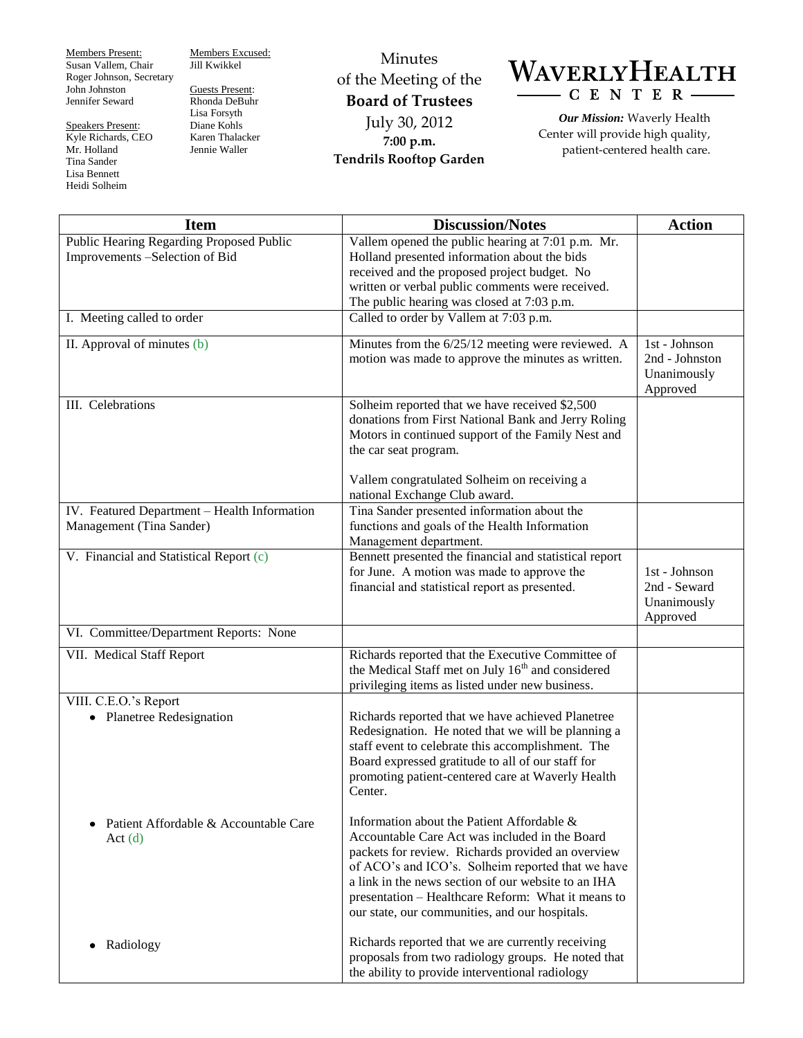Members Present: Susan Vallem, Chair Roger Johnson, Secretary John Johnston Jennifer Seward

Speakers Present: Kyle Richards, CEO Mr. Holland Tina Sander Lisa Bennett Heidi Solheim

Members Excused: Jill Kwikkel

Guests Present: Rhonda DeBuhr Lisa Forsyth Diane Kohls Karen Thalacker Jennie Waller

Minutes of the Meeting of the **Board of Trustees** July 30, 2012 **7:00 p.m. Tendrils Rooftop Garden**



*Our Mission:* Waverly Health Center will provide high quality, patient-centered health care.

| <b>Item</b>                                                  | <b>Discussion/Notes</b>                                                                                                                                                                                                                                                                                                                                               | <b>Action</b>                                                |
|--------------------------------------------------------------|-----------------------------------------------------------------------------------------------------------------------------------------------------------------------------------------------------------------------------------------------------------------------------------------------------------------------------------------------------------------------|--------------------------------------------------------------|
| Public Hearing Regarding Proposed Public                     | Vallem opened the public hearing at 7:01 p.m. Mr.                                                                                                                                                                                                                                                                                                                     |                                                              |
| Improvements -Selection of Bid                               | Holland presented information about the bids                                                                                                                                                                                                                                                                                                                          |                                                              |
|                                                              | received and the proposed project budget. No                                                                                                                                                                                                                                                                                                                          |                                                              |
|                                                              | written or verbal public comments were received.                                                                                                                                                                                                                                                                                                                      |                                                              |
|                                                              | The public hearing was closed at 7:03 p.m.                                                                                                                                                                                                                                                                                                                            |                                                              |
| I. Meeting called to order                                   | Called to order by Vallem at 7:03 p.m.                                                                                                                                                                                                                                                                                                                                |                                                              |
| II. Approval of minutes (b)                                  | Minutes from the 6/25/12 meeting were reviewed. A<br>motion was made to approve the minutes as written.                                                                                                                                                                                                                                                               | $1st - Johnson$<br>2nd - Johnston<br>Unanimously<br>Approved |
| III. Celebrations                                            | Solheim reported that we have received \$2,500<br>donations from First National Bank and Jerry Roling<br>Motors in continued support of the Family Nest and<br>the car seat program.                                                                                                                                                                                  |                                                              |
|                                                              | Vallem congratulated Solheim on receiving a<br>national Exchange Club award.                                                                                                                                                                                                                                                                                          |                                                              |
| IV. Featured Department - Health Information                 | Tina Sander presented information about the                                                                                                                                                                                                                                                                                                                           |                                                              |
| Management (Tina Sander)                                     | functions and goals of the Health Information                                                                                                                                                                                                                                                                                                                         |                                                              |
|                                                              | Management department.                                                                                                                                                                                                                                                                                                                                                |                                                              |
| V. Financial and Statistical Report (c)                      | Bennett presented the financial and statistical report<br>for June. A motion was made to approve the<br>financial and statistical report as presented.                                                                                                                                                                                                                | 1st - Johnson<br>2nd - Seward<br>Unanimously<br>Approved     |
| VI. Committee/Department Reports: None                       |                                                                                                                                                                                                                                                                                                                                                                       |                                                              |
| VII. Medical Staff Report                                    | Richards reported that the Executive Committee of<br>the Medical Staff met on July 16 <sup>th</sup> and considered<br>privileging items as listed under new business.                                                                                                                                                                                                 |                                                              |
| VIII. C.E.O.'s Report                                        |                                                                                                                                                                                                                                                                                                                                                                       |                                                              |
| • Planetree Redesignation                                    | Richards reported that we have achieved Planetree<br>Redesignation. He noted that we will be planning a<br>staff event to celebrate this accomplishment. The<br>Board expressed gratitude to all of our staff for<br>promoting patient-centered care at Waverly Health<br>Center.                                                                                     |                                                              |
| Patient Affordable & Accountable Care<br>$\bullet$<br>Act(d) | Information about the Patient Affordable &<br>Accountable Care Act was included in the Board<br>packets for review. Richards provided an overview<br>of ACO's and ICO's. Solheim reported that we have<br>a link in the news section of our website to an IHA<br>presentation – Healthcare Reform: What it means to<br>our state, our communities, and our hospitals. |                                                              |
| Radiology<br>٠                                               | Richards reported that we are currently receiving<br>proposals from two radiology groups. He noted that<br>the ability to provide interventional radiology                                                                                                                                                                                                            |                                                              |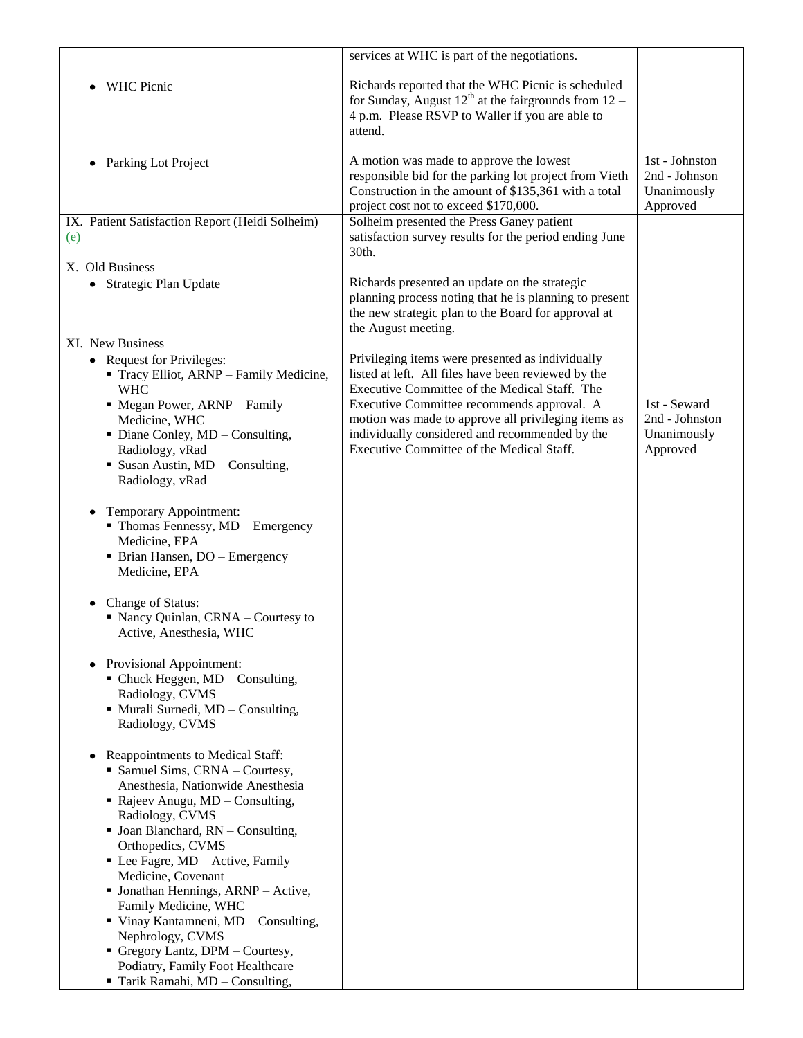|                                                                                                                                                                                                                                                              | services at WHC is part of the negotiations.                                                                                                                                                                                                                                                                                                                 |                                                            |
|--------------------------------------------------------------------------------------------------------------------------------------------------------------------------------------------------------------------------------------------------------------|--------------------------------------------------------------------------------------------------------------------------------------------------------------------------------------------------------------------------------------------------------------------------------------------------------------------------------------------------------------|------------------------------------------------------------|
| <b>WHC Picnic</b>                                                                                                                                                                                                                                            | Richards reported that the WHC Picnic is scheduled<br>for Sunday, August $12^{th}$ at the fairgrounds from $12$ –<br>4 p.m. Please RSVP to Waller if you are able to<br>attend.                                                                                                                                                                              |                                                            |
| Parking Lot Project<br>٠                                                                                                                                                                                                                                     | A motion was made to approve the lowest<br>responsible bid for the parking lot project from Vieth<br>Construction in the amount of \$135,361 with a total<br>project cost not to exceed \$170,000.                                                                                                                                                           | 1st - Johnston<br>2nd - Johnson<br>Unanimously<br>Approved |
| IX. Patient Satisfaction Report (Heidi Solheim)<br>(e)                                                                                                                                                                                                       | Solheim presented the Press Ganey patient<br>satisfaction survey results for the period ending June<br>30th.                                                                                                                                                                                                                                                 |                                                            |
| X. Old Business                                                                                                                                                                                                                                              |                                                                                                                                                                                                                                                                                                                                                              |                                                            |
| • Strategic Plan Update                                                                                                                                                                                                                                      | Richards presented an update on the strategic<br>planning process noting that he is planning to present<br>the new strategic plan to the Board for approval at<br>the August meeting.                                                                                                                                                                        |                                                            |
| XI. New Business                                                                                                                                                                                                                                             |                                                                                                                                                                                                                                                                                                                                                              |                                                            |
| • Request for Privileges:<br>Tracy Elliot, ARNP - Family Medicine,<br><b>WHC</b><br>• Megan Power, ARNP - Family<br>Medicine, WHC<br>$\blacksquare$ Diane Conley, MD – Consulting,<br>Radiology, vRad<br>• Susan Austin, MD - Consulting,<br>Radiology, vRad | Privileging items were presented as individually<br>listed at left. All files have been reviewed by the<br>Executive Committee of the Medical Staff. The<br>Executive Committee recommends approval. A<br>motion was made to approve all privileging items as<br>individually considered and recommended by the<br>Executive Committee of the Medical Staff. | 1st - Seward<br>2nd - Johnston<br>Unanimously<br>Approved  |
|                                                                                                                                                                                                                                                              |                                                                                                                                                                                                                                                                                                                                                              |                                                            |
| Temporary Appointment:<br>• Thomas Fennessy, MD - Emergency<br>Medicine, EPA<br>• Brian Hansen, DO - Emergency<br>Medicine, EPA                                                                                                                              |                                                                                                                                                                                                                                                                                                                                                              |                                                            |
| Change of Status:<br>٠<br>• Nancy Quinlan, CRNA - Courtesy to<br>Active, Anesthesia, WHC                                                                                                                                                                     |                                                                                                                                                                                                                                                                                                                                                              |                                                            |
| Provisional Appointment:<br>$\blacksquare$ Chuck Heggen, MD – Consulting,<br>Radiology, CVMS<br>• Murali Surnedi, MD - Consulting,<br>Radiology, CVMS                                                                                                        |                                                                                                                                                                                                                                                                                                                                                              |                                                            |
|                                                                                                                                                                                                                                                              |                                                                                                                                                                                                                                                                                                                                                              |                                                            |
| Reappointments to Medical Staff:<br>٠<br>• Samuel Sims, CRNA - Courtesy,<br>Anesthesia, Nationwide Anesthesia<br>• Rajeev Anugu, $MD$ – Consulting,<br>Radiology, CVMS                                                                                       |                                                                                                                                                                                                                                                                                                                                                              |                                                            |
| $\blacksquare$ Joan Blanchard, RN – Consulting,<br>Orthopedics, CVMS                                                                                                                                                                                         |                                                                                                                                                                                                                                                                                                                                                              |                                                            |
| $\blacksquare$ Lee Fagre, MD – Active, Family<br>Medicine, Covenant                                                                                                                                                                                          |                                                                                                                                                                                                                                                                                                                                                              |                                                            |
| • Jonathan Hennings, ARNP - Active,<br>Family Medicine, WHC                                                                                                                                                                                                  |                                                                                                                                                                                                                                                                                                                                                              |                                                            |
| $\blacksquare$ Vinay Kantamneni, MD - Consulting,<br>Nephrology, CVMS                                                                                                                                                                                        |                                                                                                                                                                                                                                                                                                                                                              |                                                            |
| Gregory Lantz, DPM - Courtesy,<br>Podiatry, Family Foot Healthcare                                                                                                                                                                                           |                                                                                                                                                                                                                                                                                                                                                              |                                                            |
| Tarik Ramahi, MD - Consulting,                                                                                                                                                                                                                               |                                                                                                                                                                                                                                                                                                                                                              |                                                            |